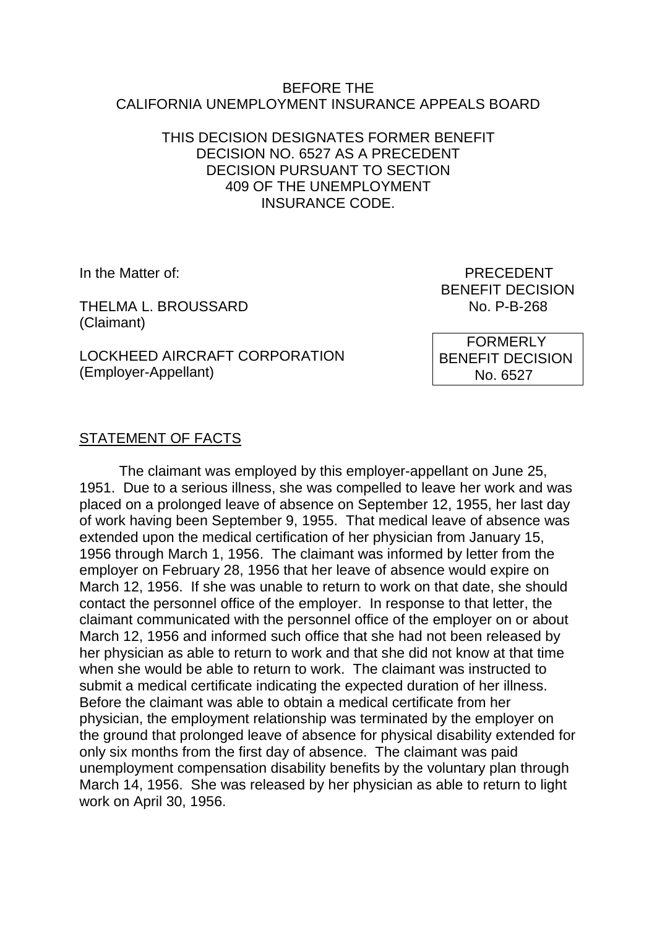#### BEFORE THE CALIFORNIA UNEMPLOYMENT INSURANCE APPEALS BOARD

### THIS DECISION DESIGNATES FORMER BENEFIT DECISION NO. 6527 AS A PRECEDENT DECISION PURSUANT TO SECTION 409 OF THE UNEMPLOYMENT INSURANCE CODE.

THELMA L. BROUSSARD NO. P-B-268 (Claimant)

LOCKHEED AIRCRAFT CORPORATION (Employer-Appellant)

In the Matter of: **PRECEDENT** BENEFIT DECISION

> FORMERLY BENEFIT DECISION No. 6527

### STATEMENT OF FACTS

The claimant was employed by this employer-appellant on June 25, 1951. Due to a serious illness, she was compelled to leave her work and was placed on a prolonged leave of absence on September 12, 1955, her last day of work having been September 9, 1955. That medical leave of absence was extended upon the medical certification of her physician from January 15, 1956 through March 1, 1956. The claimant was informed by letter from the employer on February 28, 1956 that her leave of absence would expire on March 12, 1956. If she was unable to return to work on that date, she should contact the personnel office of the employer. In response to that letter, the claimant communicated with the personnel office of the employer on or about March 12, 1956 and informed such office that she had not been released by her physician as able to return to work and that she did not know at that time when she would be able to return to work. The claimant was instructed to submit a medical certificate indicating the expected duration of her illness. Before the claimant was able to obtain a medical certificate from her physician, the employment relationship was terminated by the employer on the ground that prolonged leave of absence for physical disability extended for only six months from the first day of absence. The claimant was paid unemployment compensation disability benefits by the voluntary plan through March 14, 1956. She was released by her physician as able to return to light work on April 30, 1956.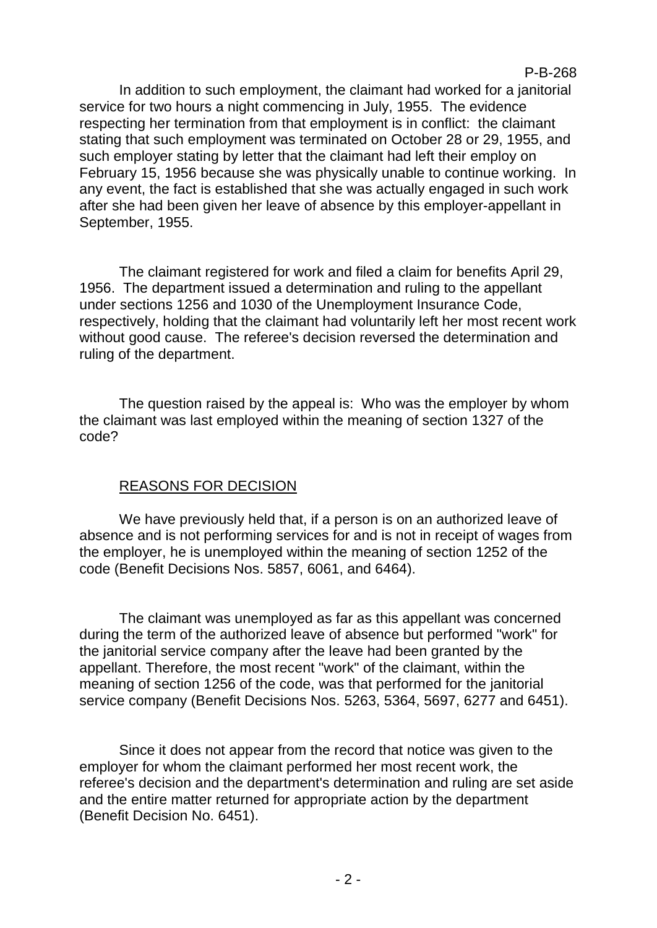P-B-268

In addition to such employment, the claimant had worked for a janitorial service for two hours a night commencing in July, 1955. The evidence respecting her termination from that employment is in conflict: the claimant stating that such employment was terminated on October 28 or 29, 1955, and such employer stating by letter that the claimant had left their employ on February 15, 1956 because she was physically unable to continue working. In any event, the fact is established that she was actually engaged in such work after she had been given her leave of absence by this employer-appellant in September, 1955.

The claimant registered for work and filed a claim for benefits April 29, 1956. The department issued a determination and ruling to the appellant under sections 1256 and 1030 of the Unemployment Insurance Code, respectively, holding that the claimant had voluntarily left her most recent work without good cause. The referee's decision reversed the determination and ruling of the department.

The question raised by the appeal is: Who was the employer by whom the claimant was last employed within the meaning of section 1327 of the code?

## REASONS FOR DECISION

We have previously held that, if a person is on an authorized leave of absence and is not performing services for and is not in receipt of wages from the employer, he is unemployed within the meaning of section 1252 of the code (Benefit Decisions Nos. 5857, 6061, and 6464).

The claimant was unemployed as far as this appellant was concerned during the term of the authorized leave of absence but performed "work" for the janitorial service company after the leave had been granted by the appellant. Therefore, the most recent "work" of the claimant, within the meaning of section 1256 of the code, was that performed for the janitorial service company (Benefit Decisions Nos. 5263, 5364, 5697, 6277 and 6451).

Since it does not appear from the record that notice was given to the employer for whom the claimant performed her most recent work, the referee's decision and the department's determination and ruling are set aside and the entire matter returned for appropriate action by the department (Benefit Decision No. 6451).